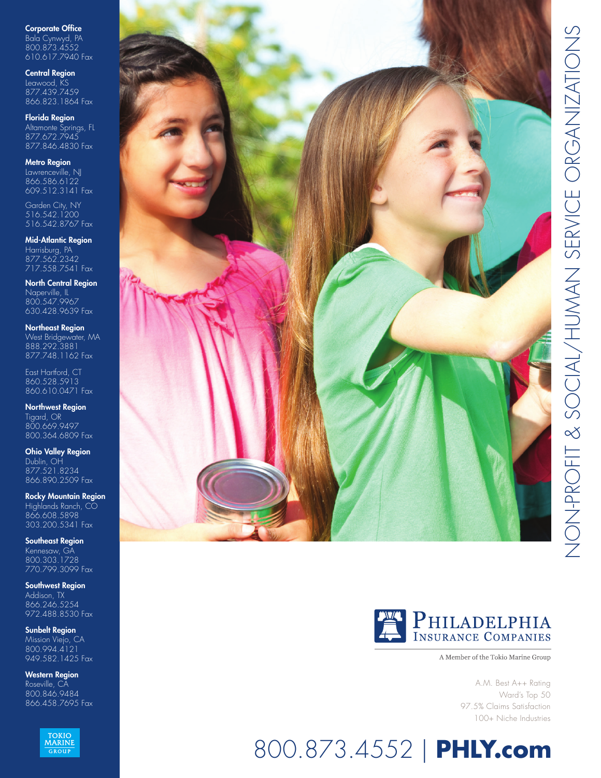Corporate Office Bala Cynwyd, PA 800.873.4552 610.617.7940 Fax

Central Region Leawood, KS 877.439.7459 866.823.1864 Fax

Florida Region Altamonte Springs, FL 877.672.7945 877.846.4830 Fax

Metro Region Lawrenceville, NJ 866.586.6122 609.512.3141 Fax

Garden City, NY 516.542.1200 516.542.8767 Fax

**Mid-Atlantic Region** Harrisburg, PA 877.562.2342 717.558.7541 Fax

North Central Region Naperville, IL 800.547.9967 630.428.9639 Fax

Northeast Region West Bridgewater, MA 888.292.3881 877.748.1162 Fax

East Hartford, CT 860.528.5913 860.610.0471 Fax

Northwest Region Tigard, OR 800.669.9497 800.364.6809 Fax

Ohio Valley Region Dublin, OH 877.521.8234 866.890.2509 Fax

Rocky Mountain Region Highlands Ranch, CO 866.608.5898 303.200.5341 Fax

Southeast Region Kennesaw, GA 800.303.1728 770.799.3099 Fax

Southwest Region Addison, TX 866.246.5254 972.488.8530 Fax

Sunbelt Region Mission Viejo, CA 800.994.4121 949.582.1425 Fax

Western Region Roseville, CA 800.846.9484 866.458.7695 Fax







A Member of the Tokio Marine Group

A.M. Best A++ Rating Ward's Top 50 97.5% Claims Satisfaction 100+ Niche Industries

# 800.873.4552 | **PHLY.com**